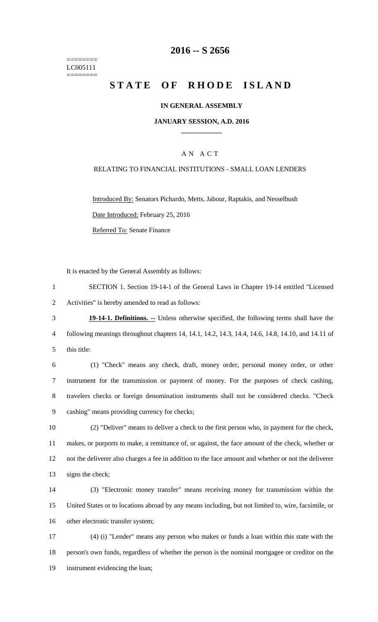======== LC005111 ========

## **-- S 2656**

# **STATE OF RHODE ISLAND**

### **IN GENERAL ASSEMBLY**

#### **JANUARY SESSION, A.D. 2016 \_\_\_\_\_\_\_\_\_\_\_\_**

## A N A C T

### RELATING TO FINANCIAL INSTITUTIONS - SMALL LOAN LENDERS

Introduced By: Senators Pichardo, Metts, Jabour, Raptakis, and Nesselbush Date Introduced: February 25, 2016 Referred To: Senate Finance

It is enacted by the General Assembly as follows:

 SECTION 1. Section 19-14-1 of the General Laws in Chapter 19-14 entitled "Licensed Activities" is hereby amended to read as follows:

 **19-14-1. Definitions. --** Unless otherwise specified, the following terms shall have the following meanings throughout chapters 14, 14.1, 14.2, 14.3, 14.4, 14.6, 14.8, 14.10, and 14.11 of this title:

 (1) "Check" means any check, draft, money order, personal money order, or other instrument for the transmission or payment of money. For the purposes of check cashing, travelers checks or foreign denomination instruments shall not be considered checks. "Check cashing" means providing currency for checks;

 (2) "Deliver" means to deliver a check to the first person who, in payment for the check, makes, or purports to make, a remittance of, or against, the face amount of the check, whether or not the deliverer also charges a fee in addition to the face amount and whether or not the deliverer signs the check;

 (3) "Electronic money transfer" means receiving money for transmission within the United States or to locations abroad by any means including, but not limited to, wire, facsimile, or other electronic transfer system;

 (4) (i) "Lender" means any person who makes or funds a loan within this state with the person's own funds, regardless of whether the person is the nominal mortgagee or creditor on the instrument evidencing the loan;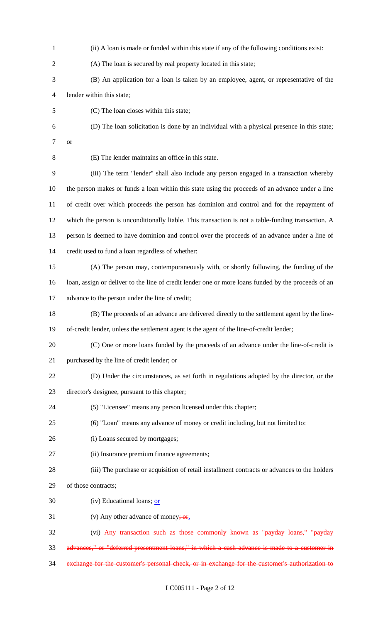(ii) A loan is made or funded within this state if any of the following conditions exist: (A) The loan is secured by real property located in this state; (B) An application for a loan is taken by an employee, agent, or representative of the lender within this state; (C) The loan closes within this state; (D) The loan solicitation is done by an individual with a physical presence in this state; or (E) The lender maintains an office in this state. (iii) The term "lender" shall also include any person engaged in a transaction whereby the person makes or funds a loan within this state using the proceeds of an advance under a line of credit over which proceeds the person has dominion and control and for the repayment of which the person is unconditionally liable. This transaction is not a table-funding transaction. A person is deemed to have dominion and control over the proceeds of an advance under a line of credit used to fund a loan regardless of whether: (A) The person may, contemporaneously with, or shortly following, the funding of the loan, assign or deliver to the line of credit lender one or more loans funded by the proceeds of an advance to the person under the line of credit; (B) The proceeds of an advance are delivered directly to the settlement agent by the line- of-credit lender, unless the settlement agent is the agent of the line-of-credit lender; (C) One or more loans funded by the proceeds of an advance under the line-of-credit is purchased by the line of credit lender; or (D) Under the circumstances, as set forth in regulations adopted by the director, or the director's designee, pursuant to this chapter; (5) "Licensee" means any person licensed under this chapter; (6) "Loan" means any advance of money or credit including, but not limited to: (i) Loans secured by mortgages; (ii) Insurance premium finance agreements; (iii) The purchase or acquisition of retail installment contracts or advances to the holders of those contracts;  $(iv)$  Educational loans; or 31 (v) Any other advance of money;  $\sigma$ r. (vi) Any transaction such as those commonly known as "payday loans," "payday advances," or "deferred-presentment loans," in which a cash advance is made to a customer in exchange for the customer's personal check, or in exchange for the customer's authorization to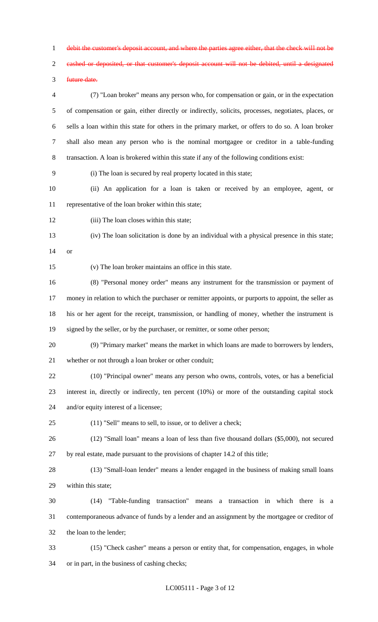debit the customer's deposit account, and where the parties agree either, that the check will not be

cashed or deposited, or that customer's deposit account will not be debited, until a designated

future date.

 (7) "Loan broker" means any person who, for compensation or gain, or in the expectation of compensation or gain, either directly or indirectly, solicits, processes, negotiates, places, or sells a loan within this state for others in the primary market, or offers to do so. A loan broker shall also mean any person who is the nominal mortgagee or creditor in a table-funding transaction. A loan is brokered within this state if any of the following conditions exist:

(i) The loan is secured by real property located in this state;

 (ii) An application for a loan is taken or received by an employee, agent, or representative of the loan broker within this state;

(iii) The loan closes within this state;

 (iv) The loan solicitation is done by an individual with a physical presence in this state; or

(v) The loan broker maintains an office in this state.

 (8) "Personal money order" means any instrument for the transmission or payment of money in relation to which the purchaser or remitter appoints, or purports to appoint, the seller as his or her agent for the receipt, transmission, or handling of money, whether the instrument is 19 signed by the seller, or by the purchaser, or remitter, or some other person;

 (9) "Primary market" means the market in which loans are made to borrowers by lenders, whether or not through a loan broker or other conduit;

 (10) "Principal owner" means any person who owns, controls, votes, or has a beneficial interest in, directly or indirectly, ten percent (10%) or more of the outstanding capital stock and/or equity interest of a licensee;

(11) "Sell" means to sell, to issue, or to deliver a check;

 (12) "Small loan" means a loan of less than five thousand dollars (\$5,000), not secured by real estate, made pursuant to the provisions of chapter 14.2 of this title;

 (13) "Small-loan lender" means a lender engaged in the business of making small loans within this state;

 (14) "Table-funding transaction" means a transaction in which there is a contemporaneous advance of funds by a lender and an assignment by the mortgagee or creditor of the loan to the lender;

 (15) "Check casher" means a person or entity that, for compensation, engages, in whole or in part, in the business of cashing checks;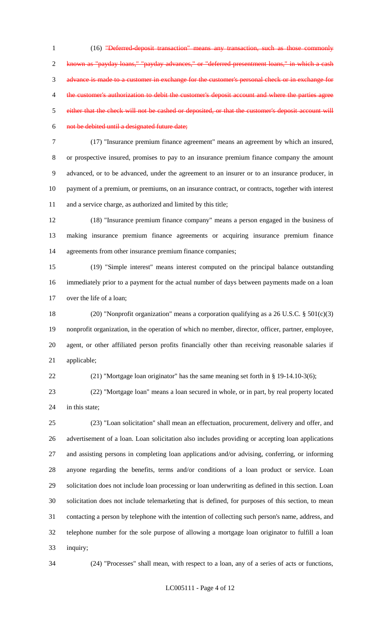(16) "Deferred-deposit transaction" means any transaction, such as those commonly known as "payday loans," "payday advances," or "deferred-presentment loans," in which a cash advance is made to a customer in exchange for the customer's personal check or in exchange for the customer's authorization to debit the customer's deposit account and where the parties agree either that the check will not be cashed or deposited, or that the customer's deposit account will not be debited until a designated future date;

 (17) "Insurance premium finance agreement" means an agreement by which an insured, or prospective insured, promises to pay to an insurance premium finance company the amount advanced, or to be advanced, under the agreement to an insurer or to an insurance producer, in payment of a premium, or premiums, on an insurance contract, or contracts, together with interest and a service charge, as authorized and limited by this title;

 (18) "Insurance premium finance company" means a person engaged in the business of making insurance premium finance agreements or acquiring insurance premium finance agreements from other insurance premium finance companies;

 (19) "Simple interest" means interest computed on the principal balance outstanding immediately prior to a payment for the actual number of days between payments made on a loan over the life of a loan;

 (20) "Nonprofit organization" means a corporation qualifying as a 26 U.S.C. § 501(c)(3) nonprofit organization, in the operation of which no member, director, officer, partner, employee, agent, or other affiliated person profits financially other than receiving reasonable salaries if applicable;

(21) "Mortgage loan originator" has the same meaning set forth in § 19-14.10-3(6);

 (22) "Mortgage loan" means a loan secured in whole, or in part, by real property located 24 in this state:

 (23) "Loan solicitation" shall mean an effectuation, procurement, delivery and offer, and advertisement of a loan. Loan solicitation also includes providing or accepting loan applications and assisting persons in completing loan applications and/or advising, conferring, or informing anyone regarding the benefits, terms and/or conditions of a loan product or service. Loan solicitation does not include loan processing or loan underwriting as defined in this section. Loan solicitation does not include telemarketing that is defined, for purposes of this section, to mean contacting a person by telephone with the intention of collecting such person's name, address, and telephone number for the sole purpose of allowing a mortgage loan originator to fulfill a loan inquiry;

(24) "Processes" shall mean, with respect to a loan, any of a series of acts or functions,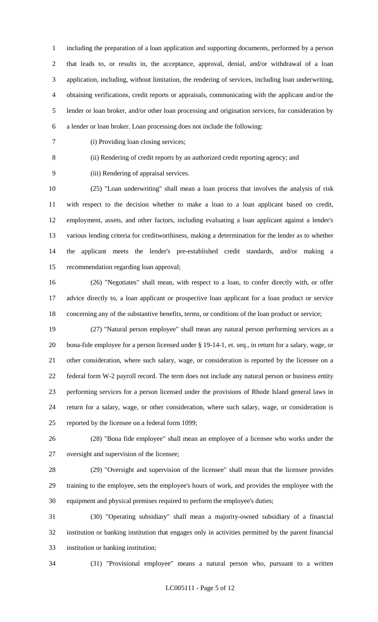including the preparation of a loan application and supporting documents, performed by a person that leads to, or results in, the acceptance, approval, denial, and/or withdrawal of a loan application, including, without limitation, the rendering of services, including loan underwriting, obtaining verifications, credit reports or appraisals, communicating with the applicant and/or the lender or loan broker, and/or other loan processing and origination services, for consideration by a lender or loan broker. Loan processing does not include the following:

(i) Providing loan closing services;

(ii) Rendering of credit reports by an authorized credit reporting agency; and

(iii) Rendering of appraisal services.

 (25) "Loan underwriting" shall mean a loan process that involves the analysis of risk with respect to the decision whether to make a loan to a loan applicant based on credit, employment, assets, and other factors, including evaluating a loan applicant against a lender's various lending criteria for creditworthiness, making a determination for the lender as to whether the applicant meets the lender's pre-established credit standards, and/or making a recommendation regarding loan approval;

 (26) "Negotiates" shall mean, with respect to a loan, to confer directly with, or offer advice directly to, a loan applicant or prospective loan applicant for a loan product or service concerning any of the substantive benefits, terms, or conditions of the loan product or service;

 (27) "Natural person employee" shall mean any natural person performing services as a bona-fide employee for a person licensed under § 19-14-1, et. seq., in return for a salary, wage, or other consideration, where such salary, wage, or consideration is reported by the licensee on a federal form W-2 payroll record. The term does not include any natural person or business entity performing services for a person licensed under the provisions of Rhode Island general laws in return for a salary, wage, or other consideration, where such salary, wage, or consideration is reported by the licensee on a federal form 1099;

 (28) "Bona fide employee" shall mean an employee of a licensee who works under the oversight and supervision of the licensee;

 (29) "Oversight and supervision of the licensee" shall mean that the licensee provides training to the employee, sets the employee's hours of work, and provides the employee with the equipment and physical premises required to perform the employee's duties;

 (30) "Operating subsidiary" shall mean a majority-owned subsidiary of a financial institution or banking institution that engages only in activities permitted by the parent financial institution or banking institution;

(31) "Provisional employee" means a natural person who, pursuant to a written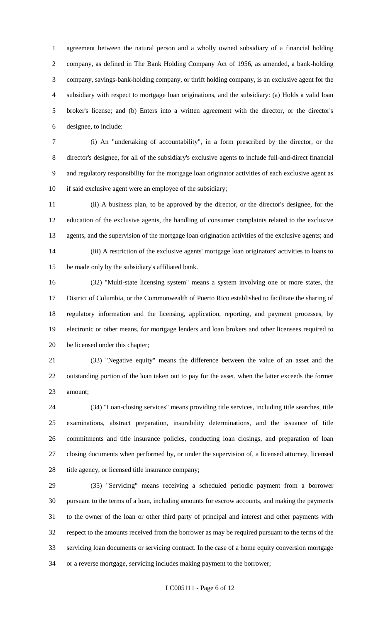agreement between the natural person and a wholly owned subsidiary of a financial holding company, as defined in The Bank Holding Company Act of 1956, as amended, a bank-holding company, savings-bank-holding company, or thrift holding company, is an exclusive agent for the subsidiary with respect to mortgage loan originations, and the subsidiary: (a) Holds a valid loan broker's license; and (b) Enters into a written agreement with the director, or the director's designee, to include:

 (i) An "undertaking of accountability", in a form prescribed by the director, or the director's designee, for all of the subsidiary's exclusive agents to include full-and-direct financial and regulatory responsibility for the mortgage loan originator activities of each exclusive agent as 10 if said exclusive agent were an employee of the subsidiary;

 (ii) A business plan, to be approved by the director, or the director's designee, for the education of the exclusive agents, the handling of consumer complaints related to the exclusive agents, and the supervision of the mortgage loan origination activities of the exclusive agents; and (iii) A restriction of the exclusive agents' mortgage loan originators' activities to loans to be made only by the subsidiary's affiliated bank.

 (32) "Multi-state licensing system" means a system involving one or more states, the District of Columbia, or the Commonwealth of Puerto Rico established to facilitate the sharing of regulatory information and the licensing, application, reporting, and payment processes, by electronic or other means, for mortgage lenders and loan brokers and other licensees required to be licensed under this chapter;

 (33) "Negative equity" means the difference between the value of an asset and the outstanding portion of the loan taken out to pay for the asset, when the latter exceeds the former amount;

 (34) "Loan-closing services" means providing title services, including title searches, title examinations, abstract preparation, insurability determinations, and the issuance of title commitments and title insurance policies, conducting loan closings, and preparation of loan closing documents when performed by, or under the supervision of, a licensed attorney, licensed 28 title agency, or licensed title insurance company;

 (35) "Servicing" means receiving a scheduled periodic payment from a borrower pursuant to the terms of a loan, including amounts for escrow accounts, and making the payments to the owner of the loan or other third party of principal and interest and other payments with respect to the amounts received from the borrower as may be required pursuant to the terms of the servicing loan documents or servicing contract. In the case of a home equity conversion mortgage or a reverse mortgage, servicing includes making payment to the borrower;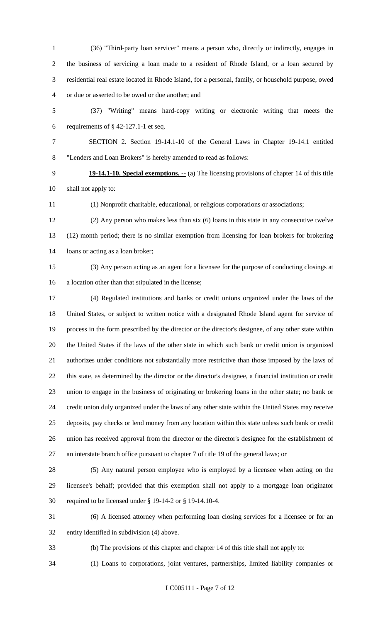(36) "Third-party loan servicer" means a person who, directly or indirectly, engages in the business of servicing a loan made to a resident of Rhode Island, or a loan secured by residential real estate located in Rhode Island, for a personal, family, or household purpose, owed or due or asserted to be owed or due another; and

 (37) "Writing" means hard-copy writing or electronic writing that meets the 6 requirements of  $\S$  42-127.1-1 et seq.

 SECTION 2. Section 19-14.1-10 of the General Laws in Chapter 19-14.1 entitled "Lenders and Loan Brokers" is hereby amended to read as follows:

 **19-14.1-10. Special exemptions. --** (a) The licensing provisions of chapter 14 of this title shall not apply to:

(1) Nonprofit charitable, educational, or religious corporations or associations;

 (2) Any person who makes less than six (6) loans in this state in any consecutive twelve (12) month period; there is no similar exemption from licensing for loan brokers for brokering loans or acting as a loan broker;

 (3) Any person acting as an agent for a licensee for the purpose of conducting closings at a location other than that stipulated in the license;

 (4) Regulated institutions and banks or credit unions organized under the laws of the United States, or subject to written notice with a designated Rhode Island agent for service of process in the form prescribed by the director or the director's designee, of any other state within the United States if the laws of the other state in which such bank or credit union is organized authorizes under conditions not substantially more restrictive than those imposed by the laws of this state, as determined by the director or the director's designee, a financial institution or credit union to engage in the business of originating or brokering loans in the other state; no bank or credit union duly organized under the laws of any other state within the United States may receive deposits, pay checks or lend money from any location within this state unless such bank or credit union has received approval from the director or the director's designee for the establishment of an interstate branch office pursuant to chapter 7 of title 19 of the general laws; or

 (5) Any natural person employee who is employed by a licensee when acting on the licensee's behalf; provided that this exemption shall not apply to a mortgage loan originator required to be licensed under § 19-14-2 or § 19-14.10-4.

 (6) A licensed attorney when performing loan closing services for a licensee or for an entity identified in subdivision (4) above.

(b) The provisions of this chapter and chapter 14 of this title shall not apply to:

(1) Loans to corporations, joint ventures, partnerships, limited liability companies or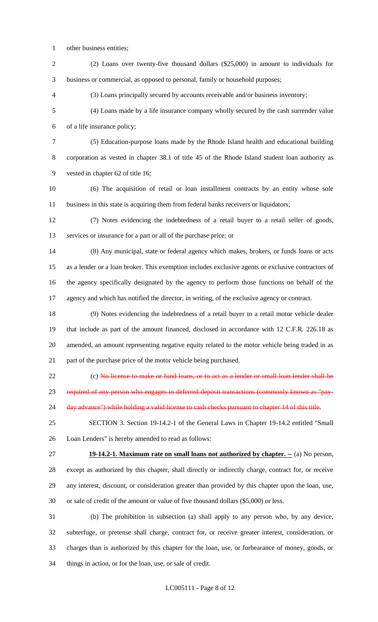- other business entities;
- (2) Loans over twenty-five thousand dollars (\$25,000) in amount to individuals for business or commercial, as opposed to personal, family or household purposes;

(3) Loans principally secured by accounts receivable and/or business inventory;

 (4) Loans made by a life insurance company wholly secured by the cash surrender value of a life insurance policy;

 (5) Education-purpose loans made by the Rhode Island health and educational building corporation as vested in chapter 38.1 of title 45 of the Rhode Island student loan authority as vested in chapter 62 of title 16;

 (6) The acquisition of retail or loan installment contracts by an entity whose sole business in this state is acquiring them from federal banks receivers or liquidators;

 (7) Notes evidencing the indebtedness of a retail buyer to a retail seller of goods, services or insurance for a part or all of the purchase price; or

 (8) Any municipal, state or federal agency which makes, brokers, or funds loans or acts as a lender or a loan broker. This exemption includes exclusive agents or exclusive contractors of the agency specifically designated by the agency to perform those functions on behalf of the agency and which has notified the director, in writing, of the exclusive agency or contract.

 (9) Notes evidencing the indebtedness of a retail buyer to a retail motor vehicle dealer that include as part of the amount financed, disclosed in accordance with 12 C.F.R. 226.18 as amended, an amount representing negative equity related to the motor vehicle being traded in as part of the purchase price of the motor vehicle being purchased.

22 (c) No license to make or fund loans, or to act as a lender or small loan lender shall be

required of any person who engages in deferred deposit transactions (commonly known as "pay-

24 day advance") while holding a valid license to cash checks pursuant to chapter 14 of this title.

 SECTION 3. Section 19-14.2-1 of the General Laws in Chapter 19-14.2 entitled "Small Loan Lenders" is hereby amended to read as follows:

**19-14.2-1. Maximum rate on small loans not authorized by chapter. --** (a) No person,

 except as authorized by this chapter, shall directly or indirectly charge, contract for, or receive any interest, discount, or consideration greater than provided by this chapter upon the loan, use, or sale of credit of the amount or value of five thousand dollars (\$5,000) or less.

 (b) The prohibition in subsection (a) shall apply to any person who, by any device, subterfuge, or pretense shall charge, contract for, or receive greater interest, consideration, or charges than is authorized by this chapter for the loan, use, or forbearance of money, goods, or things in action, or for the loan, use, or sale of credit.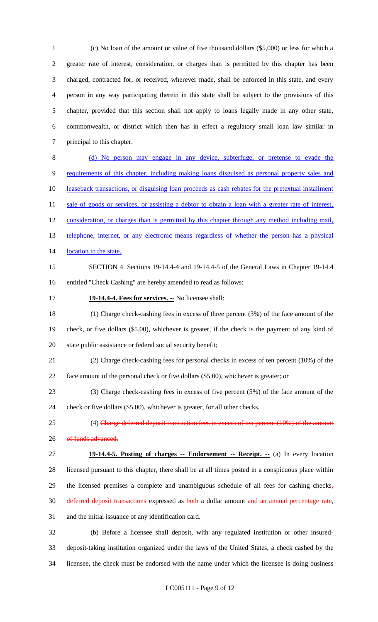(c) No loan of the amount or value of five thousand dollars (\$5,000) or less for which a greater rate of interest, consideration, or charges than is permitted by this chapter has been charged, contracted for, or received, wherever made, shall be enforced in this state, and every person in any way participating therein in this state shall be subject to the provisions of this chapter, provided that this section shall not apply to loans legally made in any other state, commonwealth, or district which then has in effect a regulatory small loan law similar in principal to this chapter.

 (d) No person may engage in any device, subterfuge, or pretense to evade the requirements of this chapter, including making loans disguised as personal property sales and 10 leaseback transactions, or disguising loan proceeds as cash rebates for the pretextual installment 11 sale of goods or services, or assisting a debtor to obtain a loan with a greater rate of interest, 12 consideration, or charges than is permitted by this chapter through any method including mail, 13 telephone, internet, or any electronic means regardless of whether the person has a physical 14 location in the state.

- SECTION 4. Sections 19-14.4-4 and 19-14.4-5 of the General Laws in Chapter 19-14.4 entitled "Check Cashing" are hereby amended to read as follows:
- 

#### **19-14.4-4. Fees for services. --** No licensee shall:

 (1) Charge check-cashing fees in excess of three percent (3%) of the face amount of the check, or five dollars (\$5.00), whichever is greater, if the check is the payment of any kind of state public assistance or federal social security benefit;

- (2) Charge check-cashing fees for personal checks in excess of ten percent (10%) of the face amount of the personal check or five dollars (\$5.00), whichever is greater; or
- (3) Charge check-cashing fees in excess of five percent (5%) of the face amount of the

check or five dollars (\$5.00), whichever is greater, for all other checks.

- 25 (4) Charge deferred deposit transaction fees in excess of ten percent (10%) of the amount 26 of funds advanced.
- **19-14.4-5. Posting of charges -- Endorsement -- Receipt. --** (a) In every location licensed pursuant to this chapter, there shall be at all times posted in a conspicuous place within 29 the licensed premises a complete and unambiguous schedule of all fees for cashing checks, 30 deferred deposit transactions expressed as both a dollar amount and an annual percentage rate, and the initial issuance of any identification card.

 (b) Before a licensee shall deposit, with any regulated institution or other insured- deposit-taking institution organized under the laws of the United States, a check cashed by the licensee, the check must be endorsed with the name under which the licensee is doing business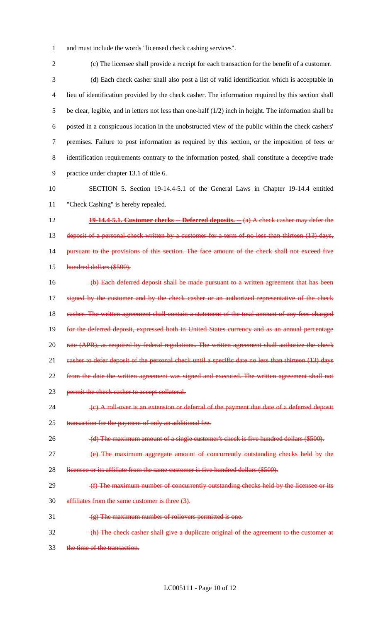1 and must include the words "licensed check cashing services".

2 (c) The licensee shall provide a receipt for each transaction for the benefit of a customer. 3 (d) Each check casher shall also post a list of valid identification which is acceptable in 4 lieu of identification provided by the check casher. The information required by this section shall 5 be clear, legible, and in letters not less than one-half (1/2) inch in height. The information shall be 6 posted in a conspicuous location in the unobstructed view of the public within the check cashers' 7 premises. Failure to post information as required by this section, or the imposition of fees or 8 identification requirements contrary to the information posted, shall constitute a deceptive trade 9 practice under chapter 13.1 of title 6. 10 SECTION 5. Section 19-14.4-5.1 of the General Laws in Chapter 19-14.4 entitled 11 "Check Cashing" is hereby repealed. 12 **19-14.4-5.1. Customer checks -- Deferred deposits. --** (a) A check casher may defer the 13 deposit of a personal check written by a customer for a term of no less than thirteen (13) days, 14 pursuant to the provisions of this section. The face amount of the check shall not exceed five 15 hundred dollars (\$500). 16 (b) Each deferred deposit shall be made pursuant to a written agreement that has been 17 signed by the customer and by the check casher or an authorized representative of the check 18 casher. The written agreement shall contain a statement of the total amount of any fees charged 19 for the deferred deposit, expressed both in United States currency and as an annual percentage 20 rate (APR), as required by federal regulations. The written agreement shall authorize the check 21 casher to defer deposit of the personal check until a specific date no less than thirteen (13) days 22 from the date the written agreement was signed and executed. The written agreement shall not 23 permit the check casher to accept collateral. 24 (c) A roll-over is an extension or deferral of the payment due date of a deferred deposit 25 transaction for the payment of only an additional fee. 26 (d) The maximum amount of a single customer's check is five hundred dollars (\$500). 27 **(a)** The maximum aggregate amount of concurrently outstanding checks held by the 28 licensee or its affiliate from the same customer is five hundred dollars (\$500). 29 (f) The maximum number of concurrently outstanding checks held by the licensee or its 30 affiliates from the same customer is three (3). 31  $(g)$  The maximum number of rollovers permitted is one. 32 (h) The check casher shall give a duplicate original of the agreement to the customer at 33 the time of the transaction.

LC005111 - Page 10 of 12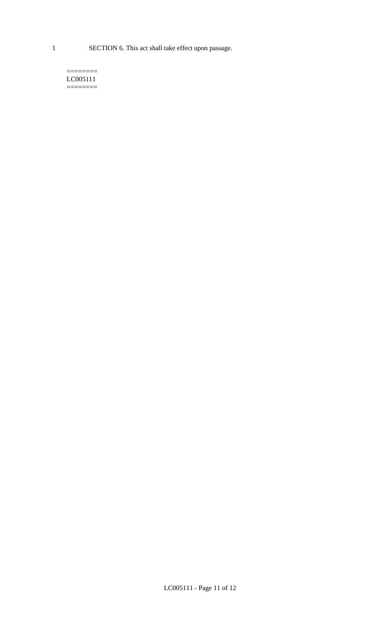1 SECTION 6. This act shall take effect upon passage.

#### $=$ LC005111  $=$